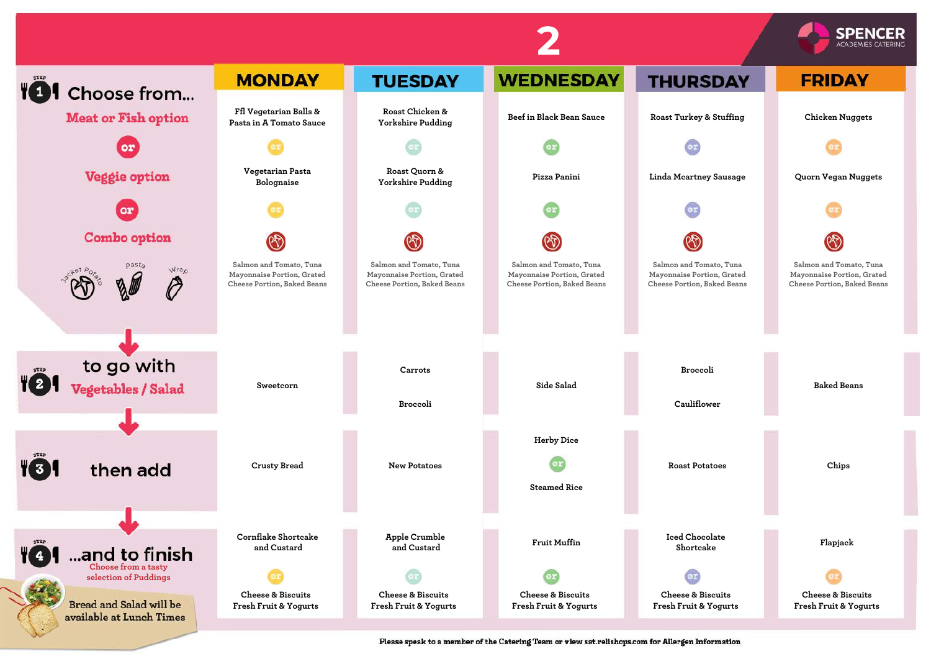



Please speak to a member of the Catering Team or view sat.relishops.com for Allergen Information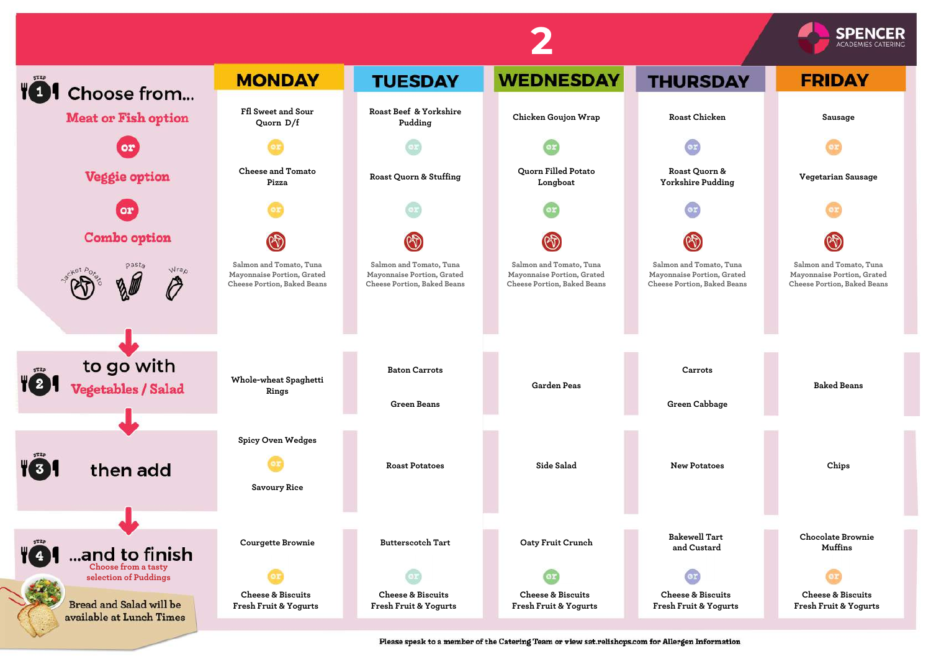

Please speak to a member of the Catering Team or view sat.relishops.com for Allergen Information